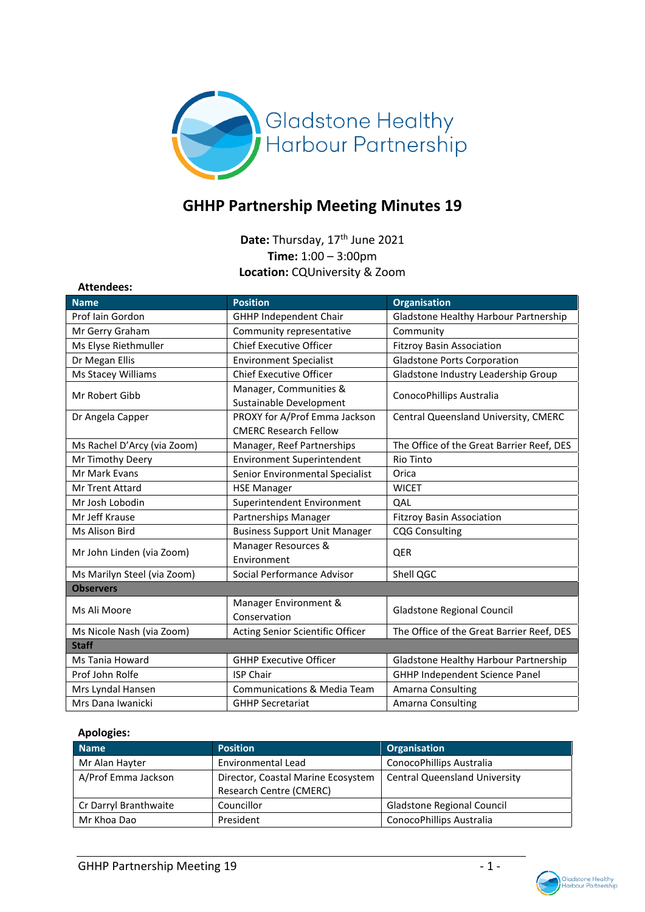

# **GHHP Partnership Meeting Minutes 19**

Date: Thursday, 17<sup>th</sup> June 2021 **Time:** 1:00 – 3:00pm **Location:** CQUniversity & Zoom

| Allendees.                  |                                        |                                           |  |
|-----------------------------|----------------------------------------|-------------------------------------------|--|
| <b>Name</b>                 | <b>Position</b>                        | <b>Organisation</b>                       |  |
| Prof Iain Gordon            | <b>GHHP Independent Chair</b>          | Gladstone Healthy Harbour Partnership     |  |
| Mr Gerry Graham             | Community representative               | Community                                 |  |
| Ms Elyse Riethmuller        | <b>Chief Executive Officer</b>         | <b>Fitzroy Basin Association</b>          |  |
| Dr Megan Ellis              | <b>Environment Specialist</b>          | <b>Gladstone Ports Corporation</b>        |  |
| Ms Stacey Williams          | <b>Chief Executive Officer</b>         | Gladstone Industry Leadership Group       |  |
| Mr Robert Gibb              | Manager, Communities &                 |                                           |  |
|                             | Sustainable Development                | ConocoPhillips Australia                  |  |
| Dr Angela Capper            | PROXY for A/Prof Emma Jackson          | Central Queensland University, CMERC      |  |
|                             | <b>CMERC Research Fellow</b>           |                                           |  |
| Ms Rachel D'Arcy (via Zoom) | Manager, Reef Partnerships             | The Office of the Great Barrier Reef, DES |  |
| Mr Timothy Deery            | <b>Environment Superintendent</b>      | <b>Rio Tinto</b>                          |  |
| Mr Mark Evans               | Senior Environmental Specialist        | Orica                                     |  |
| <b>Mr Trent Attard</b>      | <b>HSE Manager</b>                     | <b>WICET</b>                              |  |
| Mr Josh Lobodin             | Superintendent Environment             | QAL                                       |  |
| Mr Jeff Krause              | Partnerships Manager                   | <b>Fitzroy Basin Association</b>          |  |
| Ms Alison Bird              | <b>Business Support Unit Manager</b>   | <b>CQG Consulting</b>                     |  |
| Mr John Linden (via Zoom)   | Manager Resources &                    | <b>QER</b>                                |  |
|                             | Environment                            |                                           |  |
| Ms Marilyn Steel (via Zoom) | Social Performance Advisor             | Shell QGC                                 |  |
| <b>Observers</b>            |                                        |                                           |  |
| Ms Ali Moore                | Manager Environment &                  | <b>Gladstone Regional Council</b>         |  |
|                             | Conservation                           |                                           |  |
| Ms Nicole Nash (via Zoom)   | Acting Senior Scientific Officer       | The Office of the Great Barrier Reef, DES |  |
| <b>Staff</b>                |                                        |                                           |  |
| <b>Ms Tania Howard</b>      | <b>GHHP Executive Officer</b>          | Gladstone Healthy Harbour Partnership     |  |
| Prof John Rolfe             | <b>ISP Chair</b>                       | GHHP Independent Science Panel            |  |
| Mrs Lyndal Hansen           | <b>Communications &amp; Media Team</b> | Amarna Consulting                         |  |
| Mrs Dana Iwanicki           | <b>GHHP Secretariat</b>                | Amarna Consulting                         |  |

# **Apologies:**

**Attendees:**

| <b>Name</b>           | <b>Position</b>                                               | <b>Organisation</b>                  |
|-----------------------|---------------------------------------------------------------|--------------------------------------|
| Mr Alan Hayter        | Environmental Lead                                            | ConocoPhillips Australia             |
| A/Prof Emma Jackson   | Director, Coastal Marine Ecosystem<br>Research Centre (CMERC) | <b>Central Queensland University</b> |
| Cr Darryl Branthwaite | Councillor                                                    | Gladstone Regional Council           |
| Mr Khoa Dao           | President                                                     | ConocoPhillips Australia             |

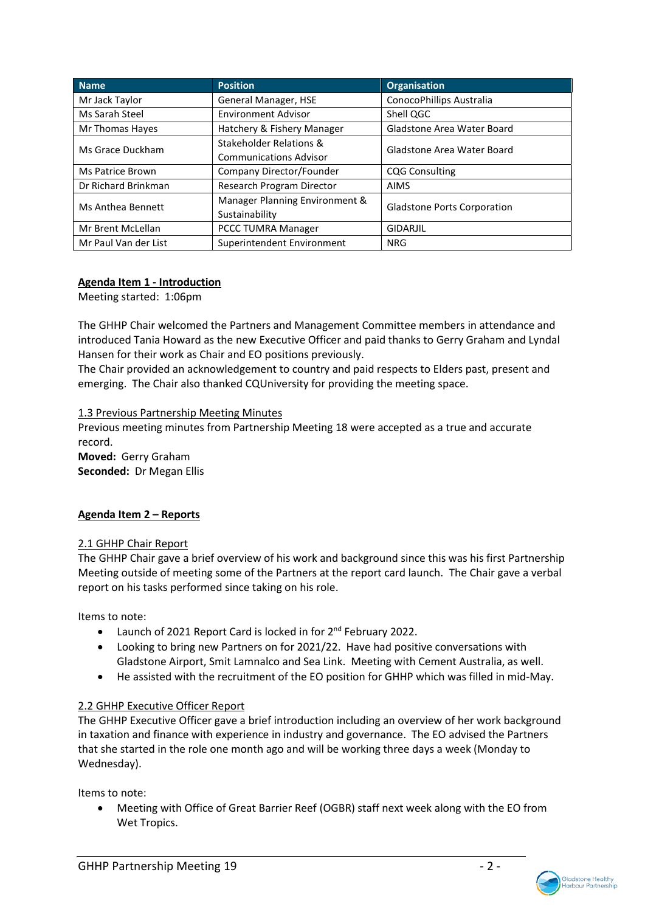| <b>Name</b>          | <b>Position</b>                | <b>Organisation</b>                |
|----------------------|--------------------------------|------------------------------------|
| Mr Jack Taylor       | General Manager, HSE           | ConocoPhillips Australia           |
| Ms Sarah Steel       | <b>Environment Advisor</b>     | Shell QGC                          |
| Mr Thomas Hayes      | Hatchery & Fishery Manager     | <b>Gladstone Area Water Board</b>  |
| Ms Grace Duckham     | Stakeholder Relations &        | Gladstone Area Water Board         |
|                      | <b>Communications Advisor</b>  |                                    |
| Ms Patrice Brown     | Company Director/Founder       | <b>CQG Consulting</b>              |
| Dr Richard Brinkman  | Research Program Director      | <b>AIMS</b>                        |
| Ms Anthea Bennett    | Manager Planning Environment & | <b>Gladstone Ports Corporation</b> |
|                      | Sustainability                 |                                    |
| Mr Brent McLellan    | <b>PCCC TUMRA Manager</b>      | <b>GIDARJIL</b>                    |
| Mr Paul Van der List | Superintendent Environment     | <b>NRG</b>                         |

# **Agenda Item 1 - Introduction**

Meeting started: 1:06pm

The GHHP Chair welcomed the Partners and Management Committee members in attendance and introduced Tania Howard as the new Executive Officer and paid thanks to Gerry Graham and Lyndal Hansen for their work as Chair and EO positions previously.

The Chair provided an acknowledgement to country and paid respects to Elders past, present and emerging. The Chair also thanked CQUniversity for providing the meeting space.

### 1.3 Previous Partnership Meeting Minutes

Previous meeting minutes from Partnership Meeting 18 were accepted as a true and accurate record.

**Moved:** Gerry Graham **Seconded:** Dr Megan Ellis

# **Agenda Item 2 – Reports**

#### 2.1 GHHP Chair Report

The GHHP Chair gave a brief overview of his work and background since this was his first Partnership Meeting outside of meeting some of the Partners at the report card launch. The Chair gave a verbal report on his tasks performed since taking on his role.

Items to note:

- Launch of 2021 Report Card is locked in for 2<sup>nd</sup> February 2022.
- Looking to bring new Partners on for 2021/22. Have had positive conversations with Gladstone Airport, Smit Lamnalco and Sea Link. Meeting with Cement Australia, as well.
- He assisted with the recruitment of the EO position for GHHP which was filled in mid-May.

# 2.2 GHHP Executive Officer Report

The GHHP Executive Officer gave a brief introduction including an overview of her work background in taxation and finance with experience in industry and governance. The EO advised the Partners that she started in the role one month ago and will be working three days a week (Monday to Wednesday).

Items to note:

• Meeting with Office of Great Barrier Reef (OGBR) staff next week along with the EO from Wet Tropics.

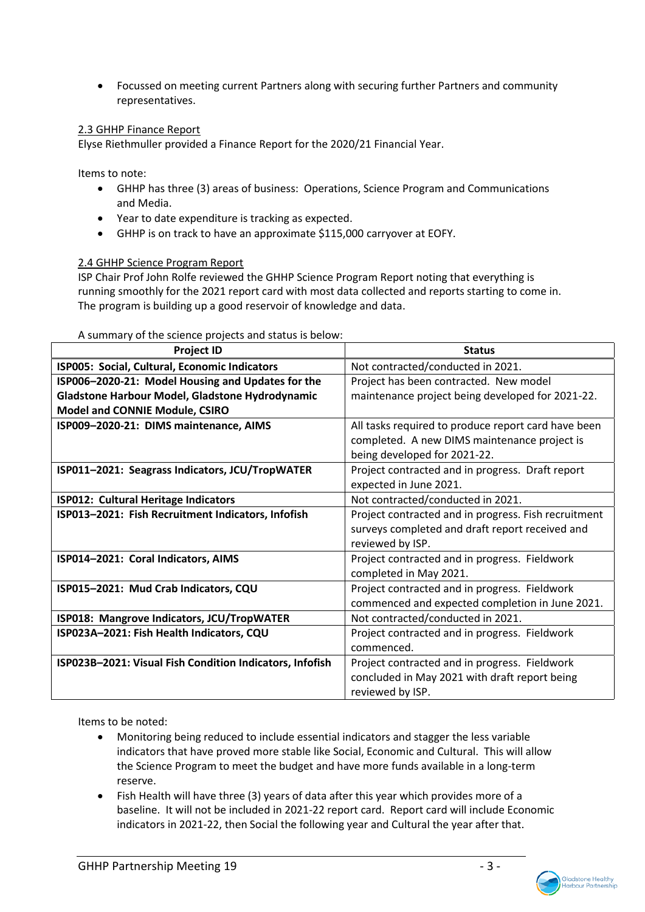• Focussed on meeting current Partners along with securing further Partners and community representatives.

# 2.3 GHHP Finance Report

Elyse Riethmuller provided a Finance Report for the 2020/21 Financial Year.

Items to note:

- GHHP has three (3) areas of business: Operations, Science Program and Communications and Media.
- Year to date expenditure is tracking as expected.
- GHHP is on track to have an approximate \$115,000 carryover at EOFY.

#### 2.4 GHHP Science Program Report

ISP Chair Prof John Rolfe reviewed the GHHP Science Program Report noting that everything is running smoothly for the 2021 report card with most data collected and reports starting to come in. The program is building up a good reservoir of knowledge and data.

| <b>Project ID</b>                                        | <b>Status</b>                                        |
|----------------------------------------------------------|------------------------------------------------------|
| ISP005: Social, Cultural, Economic Indicators            | Not contracted/conducted in 2021.                    |
| ISP006-2020-21: Model Housing and Updates for the        | Project has been contracted. New model               |
| Gladstone Harbour Model, Gladstone Hydrodynamic          | maintenance project being developed for 2021-22.     |
| Model and CONNIE Module, CSIRO                           |                                                      |
| ISP009-2020-21: DIMS maintenance, AIMS                   | All tasks required to produce report card have been  |
|                                                          | completed. A new DIMS maintenance project is         |
|                                                          | being developed for 2021-22.                         |
| ISP011-2021: Seagrass Indicators, JCU/TropWATER          | Project contracted and in progress. Draft report     |
|                                                          | expected in June 2021.                               |
| ISP012: Cultural Heritage Indicators                     | Not contracted/conducted in 2021.                    |
| ISP013-2021: Fish Recruitment Indicators, Infofish       | Project contracted and in progress. Fish recruitment |
|                                                          | surveys completed and draft report received and      |
|                                                          | reviewed by ISP.                                     |
| ISP014-2021: Coral Indicators, AIMS                      | Project contracted and in progress. Fieldwork        |
|                                                          | completed in May 2021.                               |
| ISP015-2021: Mud Crab Indicators, CQU                    | Project contracted and in progress. Fieldwork        |
|                                                          | commenced and expected completion in June 2021.      |
| ISP018: Mangrove Indicators, JCU/TropWATER               | Not contracted/conducted in 2021.                    |
| ISP023A-2021: Fish Health Indicators, CQU                | Project contracted and in progress. Fieldwork        |
|                                                          | commenced.                                           |
| ISP023B-2021: Visual Fish Condition Indicators, Infofish | Project contracted and in progress. Fieldwork        |
|                                                          | concluded in May 2021 with draft report being        |
|                                                          | reviewed by ISP.                                     |

A summary of the science projects and status is below:

Items to be noted:

- Monitoring being reduced to include essential indicators and stagger the less variable indicators that have proved more stable like Social, Economic and Cultural. This will allow the Science Program to meet the budget and have more funds available in a long-term reserve.
- Fish Health will have three (3) years of data after this year which provides more of a baseline. It will not be included in 2021-22 report card. Report card will include Economic indicators in 2021-22, then Social the following year and Cultural the year after that.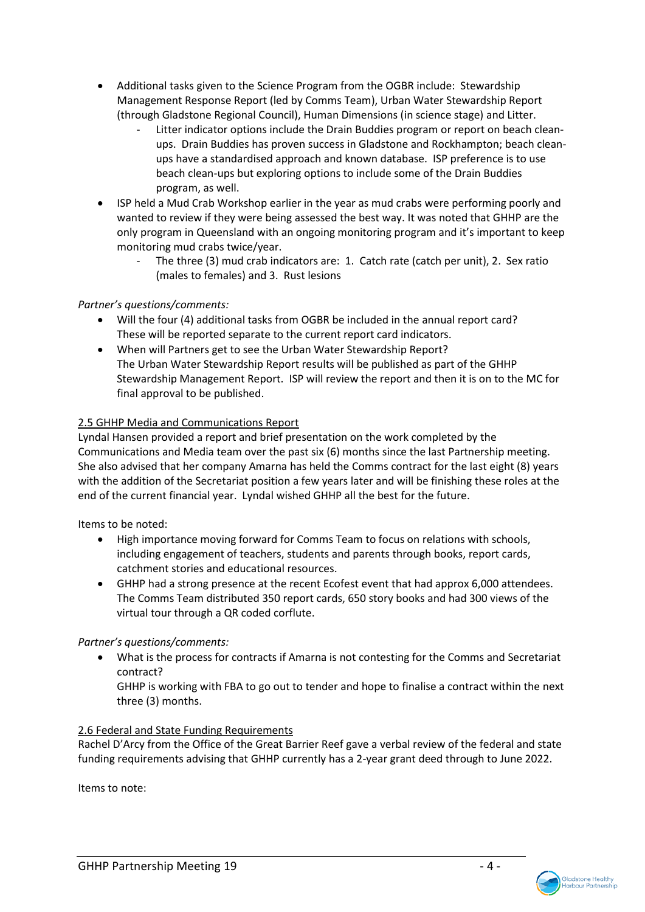- Additional tasks given to the Science Program from the OGBR include: Stewardship Management Response Report (led by Comms Team), Urban Water Stewardship Report (through Gladstone Regional Council), Human Dimensions (in science stage) and Litter.
	- Litter indicator options include the Drain Buddies program or report on beach cleanups. Drain Buddies has proven success in Gladstone and Rockhampton; beach cleanups have a standardised approach and known database. ISP preference is to use beach clean-ups but exploring options to include some of the Drain Buddies program, as well.
- ISP held a Mud Crab Workshop earlier in the year as mud crabs were performing poorly and wanted to review if they were being assessed the best way. It was noted that GHHP are the only program in Queensland with an ongoing monitoring program and it's important to keep monitoring mud crabs twice/year.
	- The three (3) mud crab indicators are: 1. Catch rate (catch per unit), 2. Sex ratio (males to females) and 3. Rust lesions

# *Partner's questions/comments:*

- Will the four (4) additional tasks from OGBR be included in the annual report card? These will be reported separate to the current report card indicators.
- When will Partners get to see the Urban Water Stewardship Report? The Urban Water Stewardship Report results will be published as part of the GHHP Stewardship Management Report. ISP will review the report and then it is on to the MC for final approval to be published.

# 2.5 GHHP Media and Communications Report

Lyndal Hansen provided a report and brief presentation on the work completed by the Communications and Media team over the past six (6) months since the last Partnership meeting. She also advised that her company Amarna has held the Comms contract for the last eight (8) years with the addition of the Secretariat position a few years later and will be finishing these roles at the end of the current financial year. Lyndal wished GHHP all the best for the future.

Items to be noted:

- High importance moving forward for Comms Team to focus on relations with schools, including engagement of teachers, students and parents through books, report cards, catchment stories and educational resources.
- GHHP had a strong presence at the recent Ecofest event that had approx 6,000 attendees. The Comms Team distributed 350 report cards, 650 story books and had 300 views of the virtual tour through a QR coded corflute.

# *Partner's questions/comments:*

• What is the process for contracts if Amarna is not contesting for the Comms and Secretariat contract?

GHHP is working with FBA to go out to tender and hope to finalise a contract within the next three (3) months.

# 2.6 Federal and State Funding Requirements

Rachel D'Arcy from the Office of the Great Barrier Reef gave a verbal review of the federal and state funding requirements advising that GHHP currently has a 2-year grant deed through to June 2022.

Items to note:

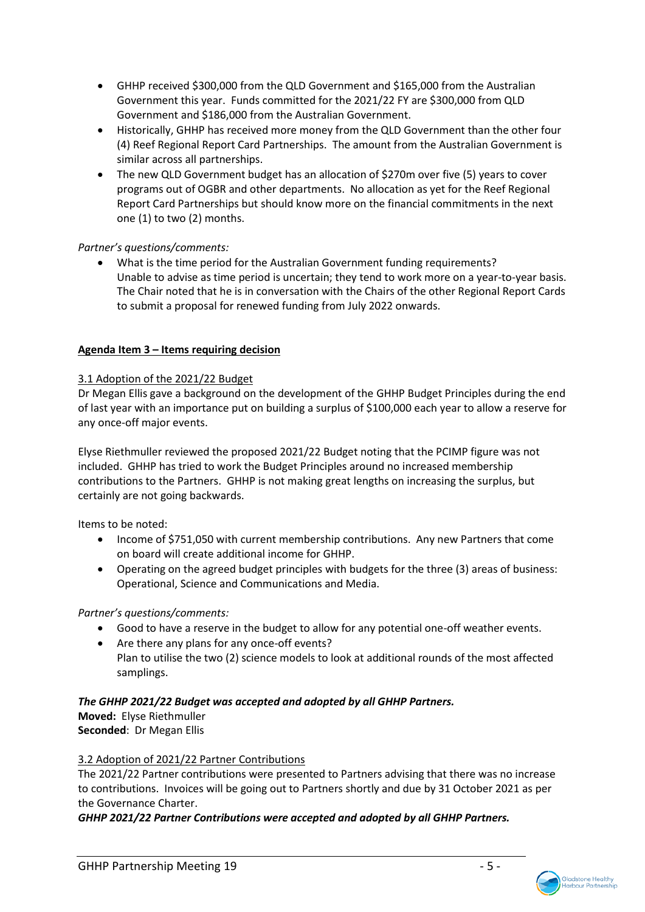- GHHP received \$300,000 from the QLD Government and \$165,000 from the Australian Government this year. Funds committed for the 2021/22 FY are \$300,000 from QLD Government and \$186,000 from the Australian Government.
- Historically, GHHP has received more money from the QLD Government than the other four (4) Reef Regional Report Card Partnerships. The amount from the Australian Government is similar across all partnerships.
- The new QLD Government budget has an allocation of \$270m over five (5) years to cover programs out of OGBR and other departments. No allocation as yet for the Reef Regional Report Card Partnerships but should know more on the financial commitments in the next one (1) to two (2) months.

# *Partner's questions/comments:*

• What is the time period for the Australian Government funding requirements? Unable to advise as time period is uncertain; they tend to work more on a year-to-year basis. The Chair noted that he is in conversation with the Chairs of the other Regional Report Cards to submit a proposal for renewed funding from July 2022 onwards.

# **Agenda Item 3 – Items requiring decision**

# 3.1 Adoption of the 2021/22 Budget

Dr Megan Ellis gave a background on the development of the GHHP Budget Principles during the end of last year with an importance put on building a surplus of \$100,000 each year to allow a reserve for any once-off major events.

Elyse Riethmuller reviewed the proposed 2021/22 Budget noting that the PCIMP figure was not included. GHHP has tried to work the Budget Principles around no increased membership contributions to the Partners. GHHP is not making great lengths on increasing the surplus, but certainly are not going backwards.

Items to be noted:

- Income of \$751,050 with current membership contributions. Any new Partners that come on board will create additional income for GHHP.
- Operating on the agreed budget principles with budgets for the three (3) areas of business: Operational, Science and Communications and Media.

# *Partner's questions/comments:*

- Good to have a reserve in the budget to allow for any potential one-off weather events.
- Are there any plans for any once-off events? Plan to utilise the two (2) science models to look at additional rounds of the most affected samplings.

# *The GHHP 2021/22 Budget was accepted and adopted by all GHHP Partners.*

**Moved:** Elyse Riethmuller **Seconded**: Dr Megan Ellis

# 3.2 Adoption of 2021/22 Partner Contributions

The 2021/22 Partner contributions were presented to Partners advising that there was no increase to contributions. Invoices will be going out to Partners shortly and due by 31 October 2021 as per the Governance Charter.

*GHHP 2021/22 Partner Contributions were accepted and adopted by all GHHP Partners.*